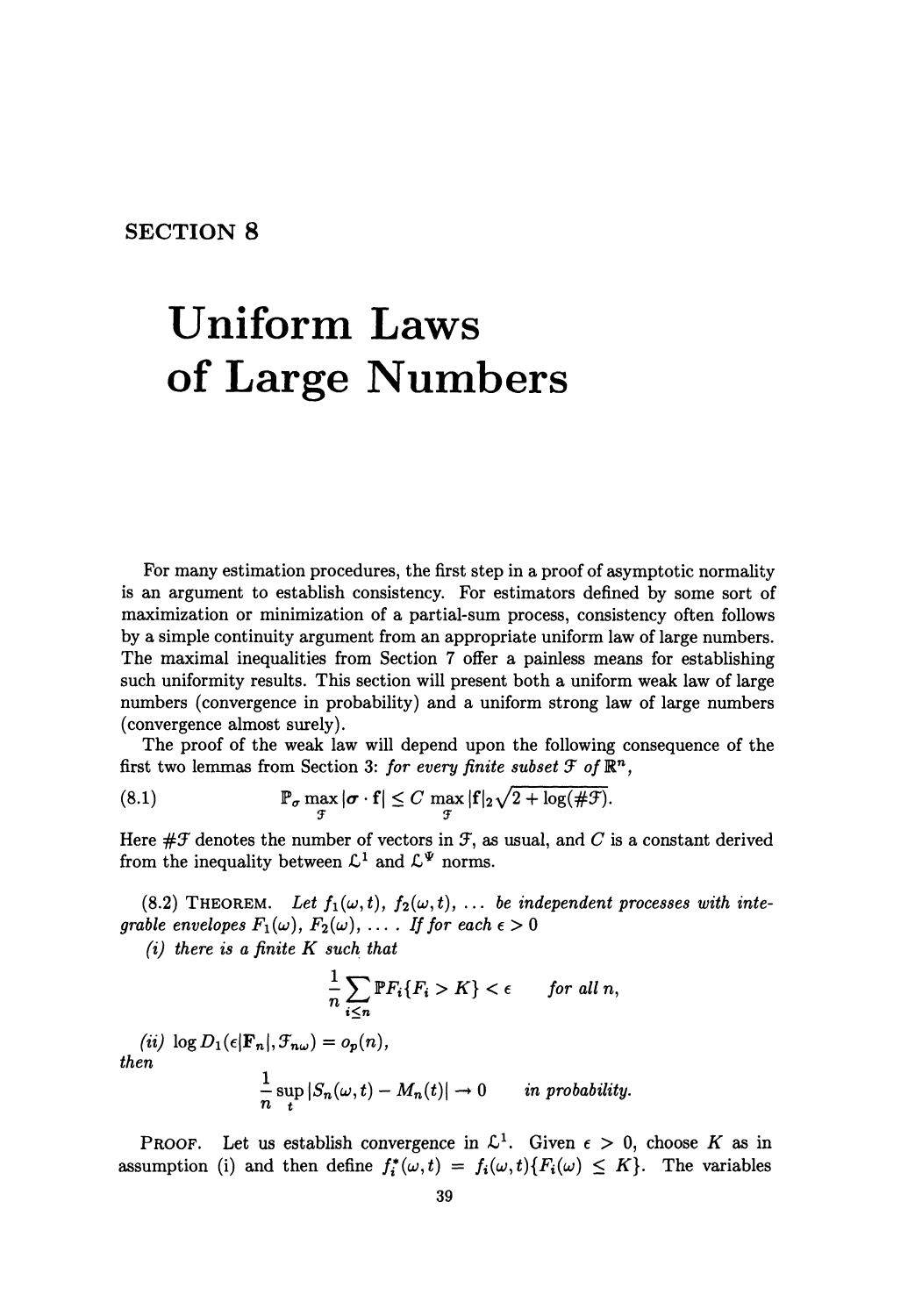## **SECTION 8**

## **Uniform Laws of Large Numbers**

For many estimation procedures, the first step in a proof of asymptotic normality is an argument to establish consistency. For estimators defined by some sort of maximization or minimization of a partial-sum process, consistency often follows by a simple continuity argument from an appropriate uniform law of large numbers. The maximal inequalities from Section 7 offer a painless means for establishing such uniformity results. This section will present both a uniform weak law of large numbers (convergence in probability) and a uniform strong law of large numbers (convergence almost surely).

The proof of the weak law will depend upon the following consequence of the first two lemmas from Section 3: *for every finite subset*  $\mathcal F$  of  $\mathbb{R}^n$ .

(8.1) 
$$
\mathbb{P}_{\sigma} \max_{\mathcal{F}} |\sigma \cdot \mathbf{f}| \leq C \max_{\mathcal{F}} |\mathbf{f}|_2 \sqrt{2 + \log(\#\mathcal{F})}.
$$

Here  $\# \mathcal{F}$  denotes the number of vectors in  $\mathcal{F}$ , as usual, and *C* is a constant derived from the inequality between  $\mathcal{L}^1$  and  $\mathcal{L}^{\Psi}$  norms.

(8.2) THEOREM. Let  $f_1(\omega, t)$ ,  $f_2(\omega, t)$ , ... *be independent processes with integrable envelopes*  $F_1(\omega)$ ,  $F_2(\omega)$ ,  $\dots$  *If for each*  $\epsilon > 0$ 

*{i) there is a finite K such that* 

$$
\frac{1}{n}\sum_{i\leq n} \mathbb{P}F_i\{F_i > K\} < \epsilon \qquad \text{for all } n,
$$

 $(iii)$   $\log D_1(\epsilon|\mathbf{F}_n|,\mathcal{F}_{n\omega}) = o_p(n),$ *then* 

$$
\frac{1}{n}\sup_{t}|S_n(\omega,t)-M_n(t)|\to 0 \quad in \text{ probability.}
$$

**PROOF.** Let us establish convergence in  $\mathcal{L}^1$ . Given  $\epsilon > 0$ , choose K as in assumption (i) and then define  $f_i^*(\omega, t) = f_i(\omega, t) \{F_i(\omega) \leq K\}$ . The variables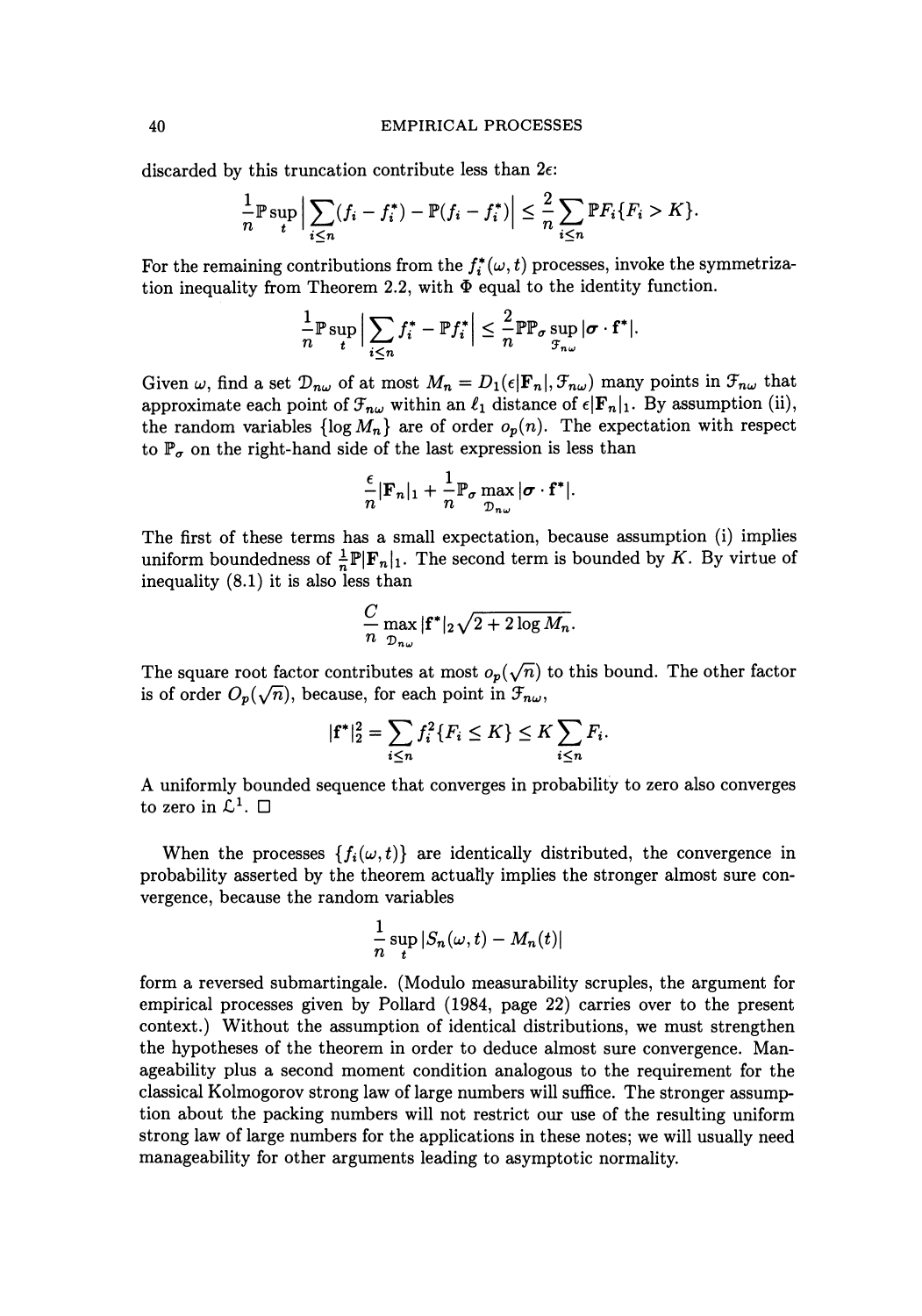discarded by this truncation contribute less than  $2\epsilon$ :

$$
\frac{1}{n} \mathbb{P} \sup_{t} \Big| \sum_{i \leq n} (f_i - f_i^*) - \mathbb{P}(f_i - f_i^*) \Big| \leq \frac{2}{n} \sum_{i \leq n} \mathbb{P} F_i \{ F_i > K \}.
$$

For the remaining contributions from the  $f_i^*(\omega, t)$  processes, invoke the symmetrization inequality from Theorem 2.2, with  $\Phi$  equal to the identity function.

$$
\frac{1}{n}\mathbb{P}\sup_{t}\Big|\sum_{i\leq n}f_{i}^*-\mathbb{P}f_{i}^*\Big|\leq \frac{2}{n}\mathbb{P}\mathbb{P}_{\sigma}\sup_{\mathcal{F}_{n\omega}}|\sigma\cdot\mathbf{f}^*|.
$$

Given  $\omega$ , find a set  $\mathcal{D}_{n\omega}$  of at most  $M_n = D_1(\epsilon | \mathbf{F}_n |, \mathcal{F}_{n\omega})$  many points in  $\mathcal{F}_{n\omega}$  that approximate each point of  $\mathcal{F}_{n\omega}$  within an  $\ell_1$  distance of  $\epsilon|\mathbf{F}_n|_1$ . By assumption (ii), the random variables  $\{\log M_n\}$  are of order  $o_p(n)$ . The expectation with respect to  $\mathbb{P}_{\sigma}$  on the right-hand side of the last expression is less than

$$
\frac{\epsilon}{n}|\mathbf{F}_n|_1 + \frac{1}{n}\mathbb{P}_{\sigma}\max_{\mathcal{D}_{n\omega}}|\sigma \cdot \mathbf{f}^*|.
$$

The first of these terms has a small expectation, because assumption (i) implies uniform boundedness of  $\frac{1}{n}\mathbb{P}|\mathbf{F}_n|_1$ . The second term is bounded by *K*. By virtue of inequality (8.1) it is also less than

$$
\frac{C}{n} \max_{\mathcal{D}_{n\omega}} |\mathbf{f}^*|_2 \sqrt{2 + 2 \log M_n}.
$$

The square root factor contributes at most  $o_p(\sqrt{n})$  to this bound. The other factor is of order  $O_p(\sqrt{n})$ , because, for each point in  $\mathcal{F}_{n\omega}$ ,

$$
|\mathbf{f}^*|_2^2 = \sum_{i \le n} f_i^2 \{ F_i \le K \} \le K \sum_{i \le n} F_i.
$$

A uniformly bounded sequence that converges in probability to zero also converges to zero in  $\mathcal{L}^1$ .  $\square$ 

When the processes  $\{f_i(\omega, t)\}\$ are identically distributed, the convergence in probability asserted by the theorem actuatly implies the stronger almost sure convergence, because the random variables

$$
\frac{1}{n}\sup_t |S_n(\omega, t) - M_n(t)|
$$

form a reversed submartingale. (Modulo measurability scruples, the argument for empirical processes given by Pollard (1984, page 22) carries over to the present context.) Without the assumption of identical distributions, we must strengthen the hypotheses of the theorem in order to deduce almost sure convergence. Manageability plus a second moment condition analogous to the requirement for the classical Kolmogorov strong law of large numbers will suffice. The stronger assumption about the packing numbers will not restrict our use of the resulting uniform strong law of large numbers for the applications in these notes; we will usually need manageability for other arguments leading to asymptotic normality.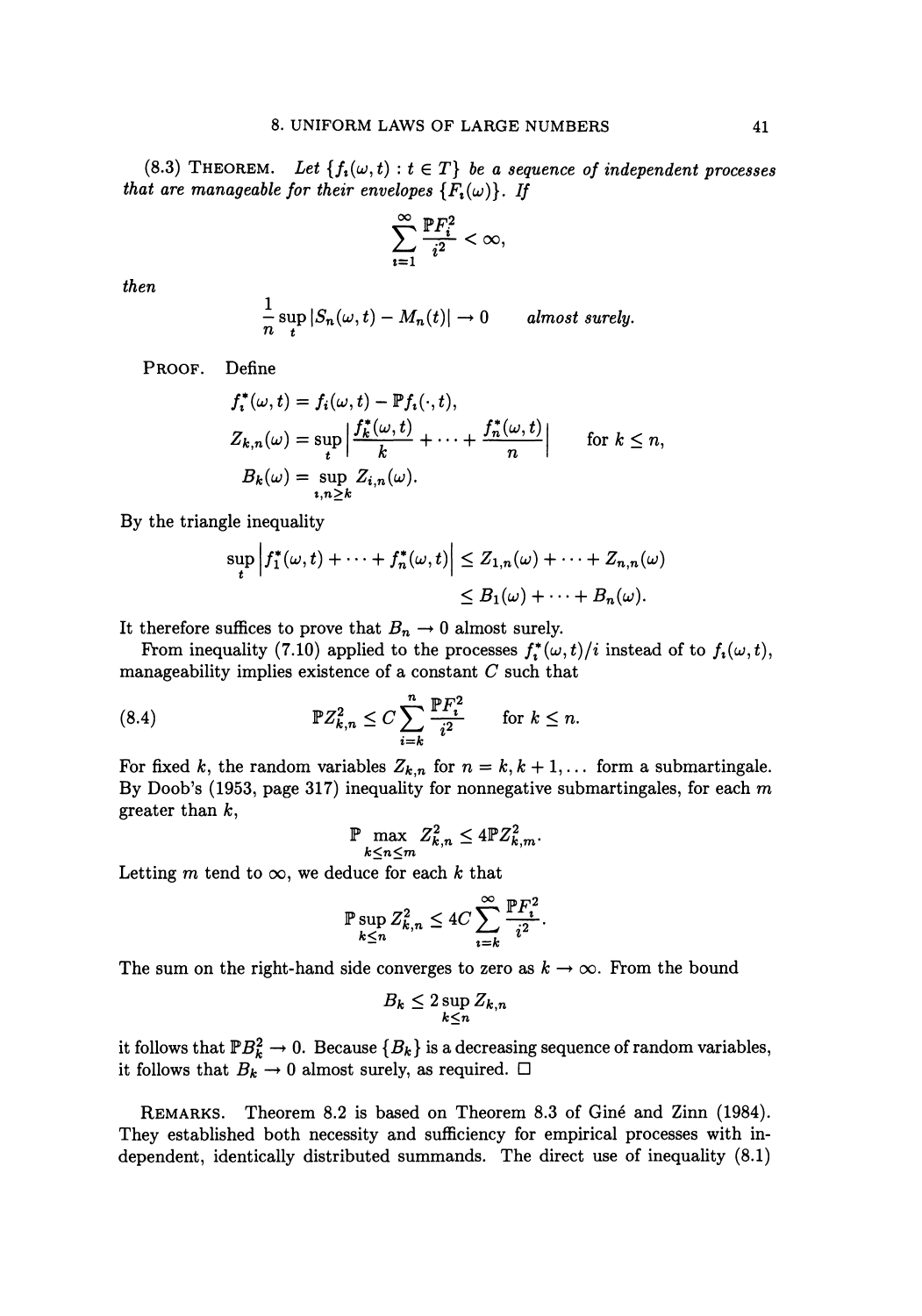(8.3) THEOREM. Let  $\{f_i(\omega, t): t \in T\}$  be a sequence of independent processes *that are manageable for their envelopes*  ${F<sub>i</sub>(\omega)}$ . If

$$
\sum_{i=1}^{\infty} \frac{\mathbb{P} F_i^2}{i^2} < \infty,
$$

*then* 

$$
\frac{1}{n}\sup_{t}|S_n(\omega,t)-M_n(t)|\to 0
$$
 almost surely.

PROOF. Define

$$
f_i^{\ast}(\omega, t) = f_i(\omega, t) - \mathbb{P}f_i(\cdot, t),
$$
  
\n
$$
Z_{k,n}(\omega) = \sup_{t} \left| \frac{f_k^{\ast}(\omega, t)}{k} + \dots + \frac{f_n^{\ast}(\omega, t)}{n} \right| \quad \text{for } k \leq n,
$$
  
\n
$$
B_k(\omega) = \sup_{t,n \geq k} Z_{i,n}(\omega).
$$

By the triangle inequality

$$
\sup_{t} \left| f_1^*(\omega, t) + \dots + f_n^*(\omega, t) \right| \le Z_{1,n}(\omega) + \dots + Z_{n,n}(\omega)
$$
  

$$
\le B_1(\omega) + \dots + B_n(\omega).
$$

It therefore suffices to prove that  $B_n \to 0$  almost surely.

From inequality (7.10) applied to the processes  $f_i^*(\omega, t)/i$  instead of to  $f_i(\omega, t)$ , manageability implies existence of a constant *C* such that

(8.4) 
$$
\mathbb{P}Z_{k,n}^2 \leq C \sum_{i=k}^n \frac{\mathbb{P}F_i^2}{i^2} \quad \text{for } k \leq n.
$$

For fixed k, the random variables  $Z_{k,n}$  for  $n = k, k + 1, \ldots$  form a submartingale. By Doob's (1953, page 317) inequality for nonnegative submartingales, for each *m*  greater than  $k$ ,

$$
\mathbb{P} \max_{k \le n \le m} Z_{k,n}^2 \le 4 \mathbb{P} Z_{k,m}^2.
$$

Letting *m* tend to  $\infty$ , we deduce for each *k* that

$$
\mathbb{P}\sup_{k\leq n}Z_{k,n}^2\leq 4C\sum_{i=k}^{\infty}\frac{\mathbb{P}F_i^2}{i^2}.
$$

The sum on the right-hand side converges to zero as  $k \to \infty$ . From the bound

$$
B_k \le 2 \sup_{k \le n} Z_{k,n}
$$

it follows that  $\mathbb{P}B_k^2 \to 0$ . Because  $\{B_k\}$  is a decreasing sequence of random variables, it follows that  $B_k \to 0$  almost surely, as required.  $\square$ 

REMARKS. Theorem 8.2 is based on Theorem 8.3 of Gine and Zinn (1984). They established both necessity and sufficiency for empirical processes with independent, identically distributed summands. The direct use of inequality (8.1)